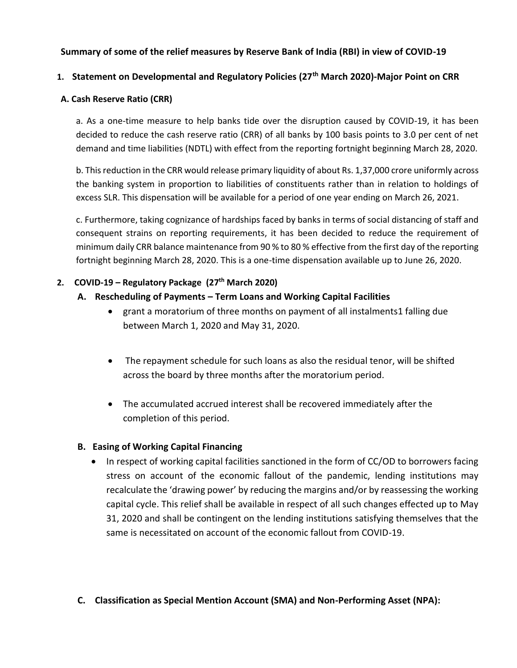# **Summary of some of the relief measures by Reserve Bank of India (RBI) in view of COVID-19**

# **1. Statement on Developmental and Regulatory Policies (27th March 2020)-Major Point on CRR**

### **A. Cash Reserve Ratio (CRR)**

a. As a one-time measure to help banks tide over the disruption caused by COVID-19, it has been decided to reduce the cash reserve ratio (CRR) of all banks by 100 basis points to 3.0 per cent of net demand and time liabilities (NDTL) with effect from the reporting fortnight beginning March 28, 2020.

b. This reduction in the CRR would release primary liquidity of about Rs. 1,37,000 crore uniformly across the banking system in proportion to liabilities of constituents rather than in relation to holdings of excess SLR. This dispensation will be available for a period of one year ending on March 26, 2021.

c. Furthermore, taking cognizance of hardships faced by banks in terms of social distancing of staff and consequent strains on reporting requirements, it has been decided to reduce the requirement of minimum daily CRR balance maintenance from 90 % to 80 % effective from the first day of the reporting fortnight beginning March 28, 2020. This is a one-time dispensation available up to June 26, 2020.

## **2. COVID-19 – Regulatory Package (27th March 2020)**

# **A. Rescheduling of Payments – Term Loans and Working Capital Facilities**

- grant a moratorium of three months on payment of all instalments1 falling due between March 1, 2020 and May 31, 2020.
- The repayment schedule for such loans as also the residual tenor, will be shifted across the board by three months after the moratorium period.
- The accumulated accrued interest shall be recovered immediately after the completion of this period.

## **B. Easing of Working Capital Financing**

• In respect of working capital facilities sanctioned in the form of CC/OD to borrowers facing stress on account of the economic fallout of the pandemic, lending institutions may recalculate the 'drawing power' by reducing the margins and/or by reassessing the working capital cycle. This relief shall be available in respect of all such changes effected up to May 31, 2020 and shall be contingent on the lending institutions satisfying themselves that the same is necessitated on account of the economic fallout from COVID-19.

## **C. Classification as Special Mention Account (SMA) and Non-Performing Asset (NPA):**